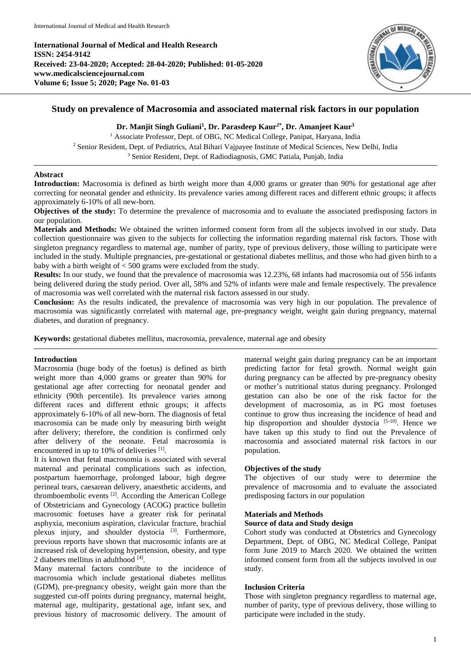**International Journal of Medical and Health Research ISSN: 2454-9142 Received: 23-04-2020; Accepted: 28-04-2020; Published: 01-05-2020 www.medicalsciencejournal.com Volume 6; Issue 5; 2020; Page No. 01-03**



# **Study on prevalence of Macrosomia and associated maternal risk factors in our population**

## **Dr. Manjit Singh Guliani<sup>1</sup> , Dr. Parasdeep Kaur2\* , Dr. Amanjeet Kaur<sup>3</sup>**

<sup>1</sup> Associate Professor, Dept. of OBG, NC Medical College, Panipat, Haryana, India <sup>2</sup> Senior Resident, Dept. of Pediatrics, Atal Bihari Vajpayee Institute of Medical Sciences, New Delhi, India <sup>3</sup> Senior Resident, Dept. of Radiodiagnosis, GMC Patiala, Punjab, India

## **Abstract**

**Introduction:** Macrosomia is defined as birth weight more than 4,000 grams or greater than 90% for gestational age after correcting for neonatal gender and ethnicity. Its prevalence varies among different races and different ethnic groups; it affects approximately 6-10% of all new-born.

**Objectives of the study:** To determine the prevalence of macrosomia and to evaluate the associated predisposing factors in our population.

**Materials and Methods:** We obtained the written informed consent form from all the subjects involved in our study. Data collection questionnaire was given to the subjects for collecting the information regarding maternal risk factors. Those with singleton pregnancy regardless to maternal age, number of parity, type of previous delivery, those willing to participate were included in the study. Multiple pregnancies, pre-gestational or gestational diabetes mellitus, and those who had given birth to a baby with a birth weight of < 500 grams were excluded from the study.

**Results:** In our study, we found that the prevalence of macrosomia was 12.23%, 68 infants had macrosomia out of 556 infants being delivered during the study period. Over all, 58% and 52% of infants were male and female respectively. The prevalence of macrosomia was well correlated with the maternal risk factors assessed in our study.

**Conclusion:** As the results indicated, the prevalence of macrosomia was very high in our population. The prevalence of macrosomia was significantly correlated with maternal age, pre-pregnancy weight, weight gain during pregnancy, maternal diabetes, and duration of pregnancy.

**Keywords:** gestational diabetes mellitus, macrosomia, prevalence, maternal age and obesity

### **Introduction**

Macrosomia (huge body of the foetus) is defined as birth weight more than 4,000 grams or greater than 90% for gestational age after correcting for neonatal gender and ethnicity (90th percentile). Its prevalence varies among different races and different ethnic groups; it affects approximately 6-10% of all new-born. The diagnosis of fetal macrosomia can be made only by measuring birth weight after delivery; therefore, the condition is confirmed only after delivery of the neonate. Fetal macrosomia is encountered in up to 10% of deliveries [1].

It is known that fetal macrosomia is associated with several maternal and perinatal complications such as infection, postpartum haemorrhage, prolonged labour, high degree perineal tears, caesarean delivery, anaesthetic accidents, and thromboembolic events [2] . According the American College of Obstetricians and Gynecology (ACOG) practice bulletin macrosomic foetuses have a greater risk for perinatal asphyxia, meconium aspiration, clavicular fracture, brachial plexus injury, and shoulder dystocia<sup>[3]</sup>. Furthermore, previous reports have shown that macrosomic infants are at increased risk of developing hypertension, obesity, and type 2 diabetes mellitus in adulthood [4].

Many maternal factors contribute to the incidence of macrosomia which include gestational diabetes mellitus (GDM), pre-pregnancy obesity, weight gain more than the suggested cut-off points during pregnancy, maternal height, maternal age, multiparity, gestational age, infant sex, and previous history of macrosomic delivery. The amount of

maternal weight gain during pregnancy can be an important predicting factor for fetal growth. Normal weight gain during pregnancy can be affected by pre-pregnancy obesity or mother's nutritional status during pregnancy. Prolonged gestation can also be one of the risk factor for the development of macrosomia, as in PG most foetuses continue to grow thus increasing the incidence of head and hip disproportion and shoulder dystocia  $[5-10]$ . Hence we have taken up this study to find out the Prevalence of macrosomia and associated maternal risk factors in our population.

## **Objectives of the study**

The objectives of our study were to determine the prevalence of macrosomia and to evaluate the associated predisposing factors in our population

## **Materials and Methods**

### **Source of data and Study design**

Cohort study was conducted at Obstetrics and Gynecology Department, Dept. of OBG, NC Medical College, Panipat form June 2019 to March 2020. We obtained the written informed consent form from all the subjects involved in our study.

### **Inclusion Criteria**

Those with singleton pregnancy regardless to maternal age, number of parity, type of previous delivery, those willing to participate were included in the study.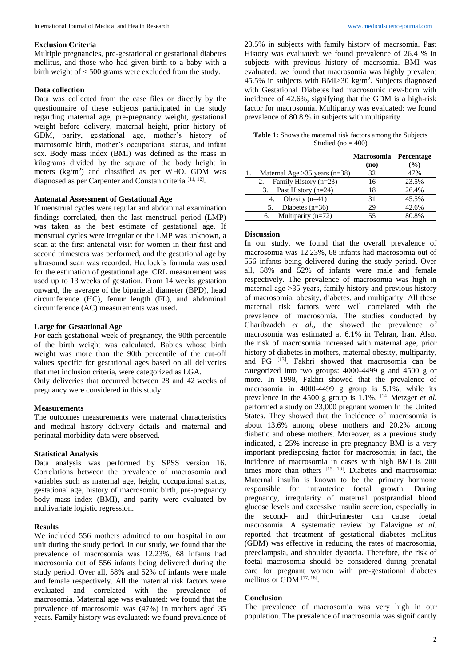## **Exclusion Criteria**

Multiple pregnancies, pre-gestational or gestational diabetes mellitus, and those who had given birth to a baby with a birth weight of < 500 grams were excluded from the study.

### **Data collection**

Data was collected from the case files or directly by the questionnaire of these subjects participated in the study regarding maternal age, pre-pregnancy weight, gestational weight before delivery, maternal height, prior history of GDM, parity, gestational age, mother's history of macrosomic birth, mother's occupational status, and infant sex. Body mass index (BMI) was defined as the mass in kilograms divided by the square of the body height in meters  $(kg/m<sup>2</sup>)$  and classified as per WHO. GDM was diagnosed as per Carpenter and Coustan criteria<sup>[11, 12]</sup>.

#### **Antenatal Assessment of Gestational Age**

If menstrual cycles were regular and abdominal examination findings correlated, then the last menstrual period (LMP) was taken as the best estimate of gestational age. If menstrual cycles were irregular or the LMP was unknown, a scan at the first antenatal visit for women in their first and second trimesters was performed, and the gestational age by ultrasound scan was recorded. Hadlock's formula was used for the estimation of gestational age. CRL measurement was used up to 13 weeks of gestation. From 14 weeks gestation onward, the average of the biparietal diameter (BPD), head circumference (HC), femur length (FL), and abdominal circumference (AC) measurements was used.

### **Large for Gestational Age**

For each gestational week of pregnancy, the 90th percentile of the birth weight was calculated. Babies whose birth weight was more than the 90th percentile of the cut-off values specific for gestational ages based on all deliveries that met inclusion criteria, were categorized as LGA.

Only deliveries that occurred between 28 and 42 weeks of pregnancy were considered in this study.

#### **Measurements**

The outcomes measurements were maternal characteristics and medical history delivery details and maternal and perinatal morbidity data were observed.

#### **Statistical Analysis**

Data analysis was performed by SPSS version 16. Correlations between the prevalence of macrosomia and variables such as maternal age, height, occupational status, gestational age, history of macrosomic birth, pre-pregnancy body mass index (BMI), and parity were evaluated by multivariate logistic regression.

### **Results**

We included 556 mothers admitted to our hospital in our unit during the study period. In our study, we found that the prevalence of macrosomia was 12.23%, 68 infants had macrosomia out of 556 infants being delivered during the study period. Over all, 58% and 52% of infants were male and female respectively. All the maternal risk factors were evaluated and correlated with the prevalence of macrosomia. Maternal age was evaluated: we found that the prevalence of macrosomia was (47%) in mothers aged 35 years. Family history was evaluated: we found prevalence of 23.5% in subjects with family history of macrsomia. Past History was evaluated: we found prevalence of 26.4 % in subjects with previous history of macrsomia. BMI was evaluated: we found that macrosomia was highly prevalent 45.5% in subjects with BMI $>$ 30 kg/m<sup>2</sup>. Subjects diagnosed with Gestational Diabetes had macrosomic new-born with incidence of 42.6%, signifying that the GDM is a high-risk factor for macrosomia. Multiparity was evaluated: we found prevalence of 80.8 % in subjects with multiparity.

**Table 1:** Shows the maternal risk factors among the Subjects Studied (no  $= 400$ )

|                                 | <b>Macrosomia</b> | Percentage |
|---------------------------------|-------------------|------------|
|                                 | (no)              | (%)        |
| Maternal Age $>35$ years (n=38) | 32                | 47%        |
| Family History (n=23)<br>2.     | 16                | 23.5%      |
| Past History (n=24)<br>3.       | 18                | 26.4%      |
| Obesity $(n=41)$<br>4.          | 31                | 45.5%      |
| Diabetes $(n=36)$               | 29                | 42.6%      |
| Multiparity $(n=72)$<br>6.      | 55                | 80.8%      |

#### **Discussion**

In our study, we found that the overall prevalence of macrosomia was 12.23%, 68 infants had macrosomia out of 556 infants being delivered during the study period. Over all, 58% and 52% of infants were male and female respectively. The prevalence of macrosomia was high in maternal age >35 years, family history and previous history of macrosomia, obesity, diabetes, and multiparity. All these maternal risk factors were well correlated with the prevalence of macrosomia. The studies conducted by Gharibzadeh *et al*., the showed the prevalence of macrosomia was estimated at 6.1% in Tehran, Iran. Also, the risk of macrosomia increased with maternal age, prior history of diabetes in mothers, maternal obesity, multiparity, and PG <sup>[13]</sup>. Fakhri showed that macrosomia can be categorized into two groups: 4000-4499 g and 4500 g or more. In 1998, Fakhri showed that the prevalence of macrosomia in 4000-4499 g group is 5.1%, while its prevalence in the 4500 g group is 1.1%. [14] Metzger *et al*. performed a study on 23,000 pregnant women In the United States. They showed that the incidence of macrosomia is about 13.6% among obese mothers and 20.2% among diabetic and obese mothers. Moreover, as a previous study indicated, a 25% increase in pre-pregnancy BMI is a very important predisposing factor for macrosomia; in fact, the incidence of macrosomia in cases with high BMI is 200 times more than others [15, 16]. Diabetes and macrosomia: Maternal insulin is known to be the primary hormone responsible for intrauterine foetal growth. During pregnancy, irregularity of maternal postprandial blood glucose levels and excessive insulin secretion, especially in the second- and third-trimester can cause foetal macrosomia. A systematic review by Falavigne *et al*. reported that treatment of gestational diabetes mellitus (GDM) was effective in reducing the rates of macrosomia, preeclampsia, and shoulder dystocia. Therefore, the risk of foetal macrosomia should be considered during prenatal care for pregnant women with pre-gestational diabetes mellitus or GDM [17, 18].

#### **Conclusion**

The prevalence of macrosomia was very high in our population. The prevalence of macrosomia was significantly